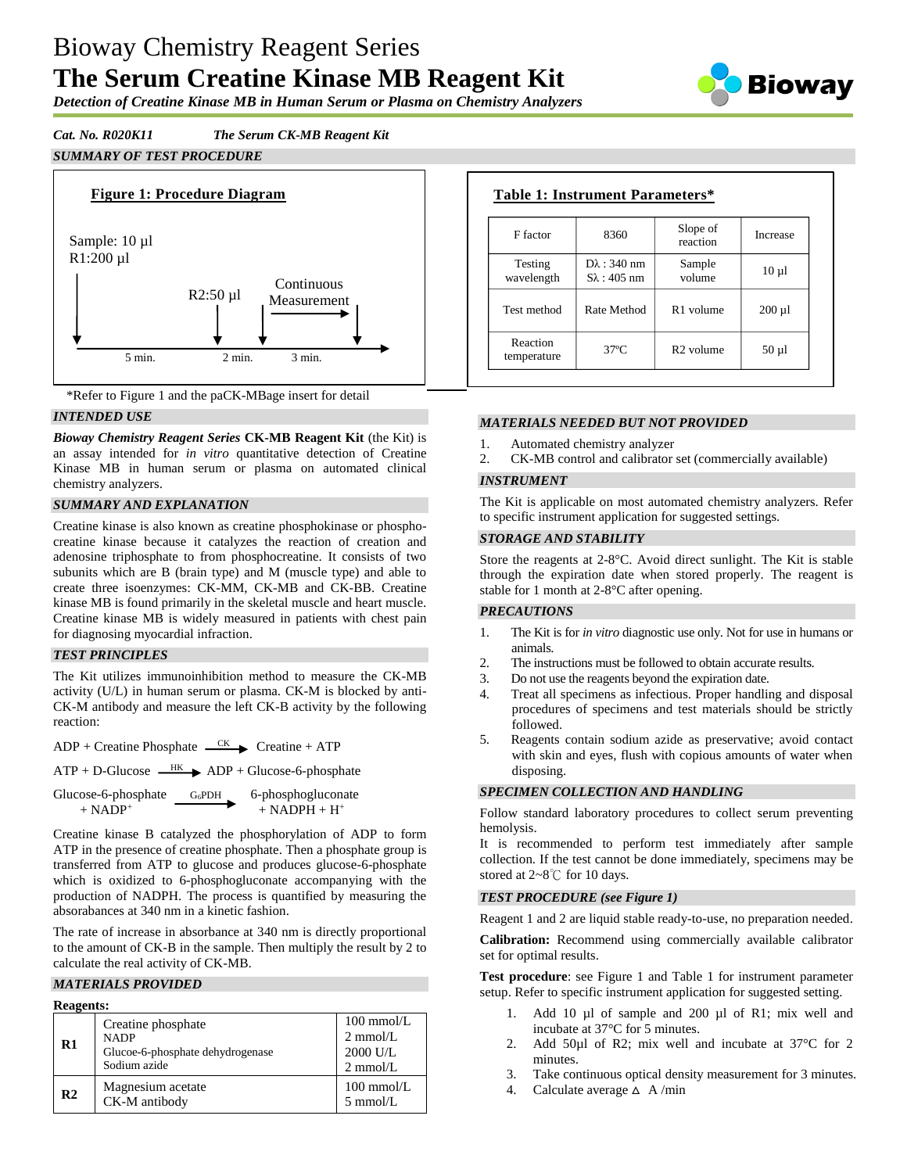# Bioway Chemistry Reagent Series **The Serum Creatine Kinase MB Reagent Kit**



*Detection of Creatine Kinase MB in Human Serum or Plasma on Chemistry Analyzers*

# *Cat. No. R020K11 The Serum CK-MB Reagent Kit*

## *SUMMARY OF TEST PROCEDURE*



\*Refer to Figure 1 and the paCK-MBage insert for detail

## *INTENDED USE*

*Bioway Chemistry Reagent Series* **CK-MB Reagent Kit** (the Kit) is an assay intended for *in vitro* quantitative detection of Creatine Kinase MB in human serum or plasma on automated clinical chemistry analyzers.

### *SUMMARY AND EXPLANATION*

Creatine kinase is also known as creatine phosphokinase or phosphocreatine kinase because it catalyzes the reaction of creation and adenosine triphosphate to from phosphocreatine. It consists of two subunits which are B (brain type) and M (muscle type) and able to create three isoenzymes: CK-MM, CK-MB and CK-BB. Creatine kinase MB is found primarily in the skeletal muscle and heart muscle. Creatine kinase MB is widely measured in patients with chest pain for diagnosing myocardial infraction.

### *TEST PRINCIPLES*

The Kit utilizes immunoinhibition method to measure the CK-MB activity (U/L) in human serum or plasma. CK-M is blocked by anti-CK-M antibody and measure the left CK-B activity by the following reaction:

 $ADP +$ Creatine Phosphate  $\overline{CK}$  Creatine + ATP

 $ATP + D-Glucose$   $\longrightarrow$  ADP + Glucose-6-phosphate

| Glucose-6-phosphate   | G <sub>6</sub> PDH | 6-phosphogluconate           |
|-----------------------|--------------------|------------------------------|
| $+$ NADP <sup>+</sup> |                    | $+$ NADPH $+$ H <sup>+</sup> |

Creatine kinase B catalyzed the phosphorylation of ADP to form ATP in the presence of creatine phosphate. Then a phosphate group is transferred from ATP to glucose and produces glucose-6-phosphate which is oxidized to 6-phosphogluconate accompanying with the production of NADPH. The process is quantified by measuring the absorabances at 340 nm in a kinetic fashion.

The rate of increase in absorbance at 340 nm is directly proportional to the amount of CK-B in the sample. Then multiply the result by 2 to calculate the real activity of CK-MB.

### *MATERIALS PROVIDED*

| <b>Reagents:</b> |                                                                                       |                                                                              |
|------------------|---------------------------------------------------------------------------------------|------------------------------------------------------------------------------|
| $\mathbf{R}1$    | Creatine phosphate<br><b>NADP</b><br>Glucoe-6-phosphate dehydrogenase<br>Sodium azide | $100 \text{ mmol/L}$<br>$2 \text{ mmol/L}$<br>2000 U/L<br>$2 \text{ mmol/L}$ |
| R <sub>2</sub>   | Magnesium acetate<br>CK-M antibody                                                    | $100 \text{ mmol/L}$<br>$5 \text{ mmol/L}$                                   |

| F factor                | 8360                                          | Slope of<br>reaction  | Increase    |
|-------------------------|-----------------------------------------------|-----------------------|-------------|
| Testing<br>wavelength   | $D\lambda$ : 340 nm<br>$S_{\lambda}$ : 405 nm | Sample<br>volume      | $10 \mu l$  |
| Test method             | Rate Method                                   | R <sub>1</sub> volume | $200 \mu l$ |
| Reaction<br>temperature | $37^\circ$ C                                  | $R2$ volume           | $50 \mu$    |

### *MATERIALS NEEDED BUT NOT PROVIDED*

1. Automated chemistry analyzer

2. CK-MB control and calibrator set (commercially available)

### *INSTRUMENT*

The Kit is applicable on most automated chemistry analyzers. Refer to specific instrument application for suggested settings.

#### *STORAGE AND STABILITY*

Store the reagents at 2-8°C. Avoid direct sunlight. The Kit is stable through the expiration date when stored properly. The reagent is stable for 1 month at 2-8°C after opening.

### *PRECAUTIONS*

- 1. The Kit is for *in vitro* diagnostic use only. Not for use in humans or animals.
- 2. The instructions must be followed to obtain accurate results.
- 3. Do not use the reagents beyond the expiration date.
- 4. Treat all specimens as infectious. Proper handling and disposal procedures of specimens and test materials should be strictly followed.
- 5. Reagents contain sodium azide as preservative; avoid contact with skin and eyes, flush with copious amounts of water when disposing.

### *SPECIMEN COLLECTION AND HANDLING*

Follow standard laboratory procedures to collect serum preventing hemolysis.

It is recommended to perform test immediately after sample collection. If the test cannot be done immediately, specimens may be stored at 2~8℃ for 10 days.

### *TEST PROCEDURE (see Figure 1)*

Reagent 1 and 2 are liquid stable ready-to-use, no preparation needed.

**Calibration:** Recommend using commercially available calibrator set for optimal results.

**Test procedure**: see Figure 1 and Table 1 for instrument parameter setup. Refer to specific instrument application for suggested setting.

- 1. Add 10 µl of sample and 200 µl of R1; mix well and incubate at 37°C for 5 minutes.
- 2. Add 50µl of R2; mix well and incubate at 37°C for 2 minutes.
- 3. Take continuous optical density measurement for 3 minutes.
- 4. Calculate average  $\triangle$  A/min